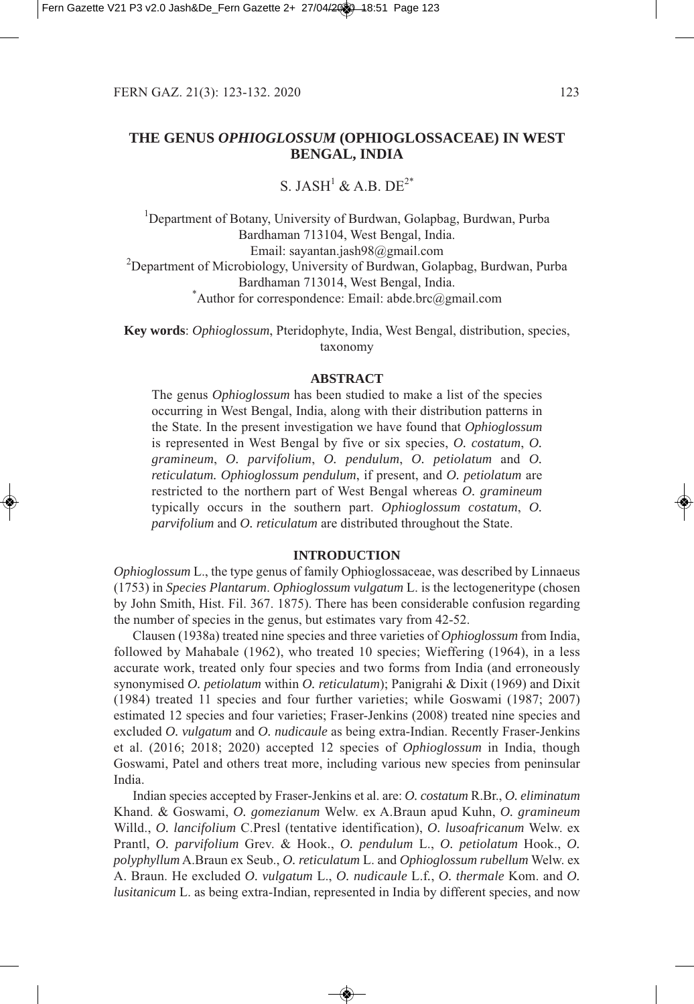# **THE GENUS** *OPHIOGLOSSUM* **(OPHIOGLOSSACEAE) IN WEST BENGAL, INDIA**

# S. JASH<sup>1</sup> & A.B. DE<sup>2\*</sup>

<sup>1</sup>Department of Botany, University of Burdwan, Golapbag, Burdwan, Purba Bardhaman 713104, West Bengal, India. Email: sayantan.jash98@gmail.com  $^{2}$ Department of Microbiology, University of Burdwan, Golapbag, Burdwan, Purba Bardhaman 713014, West Bengal, India. Author for correspondence: Email: abde.brc@gmail.com

**Key words**: *Ophioglossum*, Pteridophyte, India, West Bengal, distribution, species, taxonomy

#### **ABSTRACT**

The genus *Ophioglossum* has been studied to make a list of the species occurring in West Bengal, India, along with their distribution patterns in the State. In the present investigation we have found that *Ophioglossum* is represented in West Bengal by five or six species, *O. costatum*, *O. gramineum*, *O. parvifolium*, *O. pendulum*, *O. petiolatum* and *O. reticulatum. Ophioglossum pendulum*, if present, and *O. petiolatum* are restricted to the northern part of West Bengal whereas *O. gramineum* typically occurs in the southern part. *Ophioglossum costatum*, *O. parvifolium* and *O. reticulatum* are distributed throughout the State.

#### **INTRODUCTION**

*Ophioglossum* L., the type genus of family Ophioglossaceae, was described by Linnaeus 75 in *Species Plantarum*. *Ophioglossum vulgatum* L. is the lectogeneritype chosen by John Smith, Hist. Fil. 367. 1875). There has been considerable confusion regarding the number of species in the genus, but estimates vary from 42-52.

Clausen (1938a) treated nine species and three varieties of *Ophioglossum* from India, followed by Mahabale  $(1962)$ , who treated 10 species; Wieffering  $(1964)$ , in a less accurate work, treated only four species and two forms from India (and erroneously synonymised *O. petiolatum* within *O. reticulatum*); Panigrahi & Dixit (1969) and Dixit  $(1984)$  treated 11 species and four further varieties; while Goswami  $(1987; 2007)$ estimated 12 species and four varieties; Fraser-Jenkins (2008) treated nine species and excluded *O. vulgatum* and *O. nudicaule* as being extra-Indian. Recently Fraser-Jenkins et al. (2016; 2018; 2020) accepted 12 species of *Ophioglossum* in India, though Goswami, Patel and others treat more, including various new species from peninsular India.

Indian species accepted by Fraser-Jenkins et al. are: *O. costatum* R.Br., *O. eliminatum* Khand. & Goswami, *O. gomezianum* Welw. ex A.Braun apud Kuhn, *O. gramineum* Willd., *O. lancifolium* C.Presl (tentative identification), *O. lusoafricanum* Welw. ex Prantl, *O. parvifolium* Grev. & Hook., *O. pendulum* L., *O. petiolatum* Hook., *O. polyphyllum* A.Braun ex Seub., *O. reticulatum* L. and *Ophioglossum rubellum* Welw. ex A. Braun. He excluded *O. vulgatum* L., *O. nudicaule* L.f*.*, *O. thermale* Kom. and *O. lusitanicum* L. as being extra-Indian, represented in India by different species, and now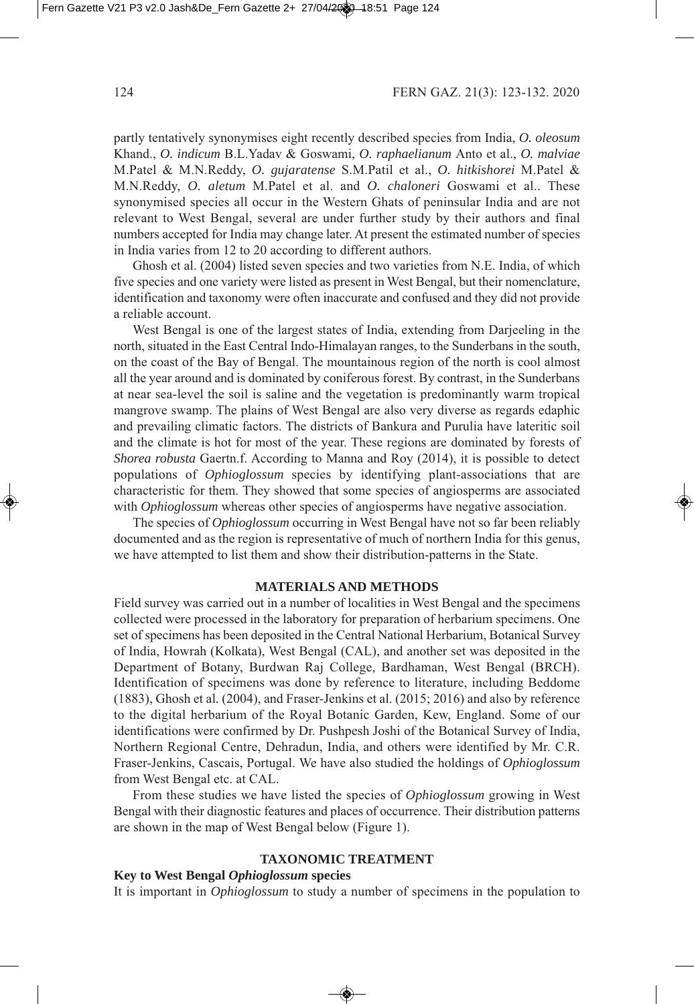partly tentatively synonymises eight recently described species from India, *O. oleosum* Khand., *O. indicum* B.L.Yadav & Goswami, *O. raphaelianum* Anto et al., *O. malviae* M.Patel & M.N.Reddy, *O. gujaratense* S.M.Patil et al., *O. hitkishorei* M.Patel & M.N.Reddy, *O. aletum* M.Patel et al. and *O. chaloneri* Goswami et al.. These synonymised species all occur in the Western Ghats of peninsular India and are not relevant to West Bengal, several are under further study by their authors and final numbers accepted for India may change later. At present the estimated number of species in India varies from 12 to 20 according to different authors.

Ghosh et al. (2004) listed seven species and two varieties from N.E. India, of which five species and one variety were listed as present in West Bengal, but their nomenclature, identification and taxonomy were often inaccurate and confused and they did not provide a reliable account.

West Bengal is one of the largest states of India, extending from Darjeeling in the north, situated in the East Central Indo-Himalayan ranges, to the Sunderbans in the south, on the coast of the Bay of Bengal. The mountainous region of the north is cool almost all the year around and is dominated by coniferous forest. By contrast, in the Sunderbans at near sea-level the soil is saline and the vegetation is predominantly warm tropical mangrove swamp. The plains of West Bengal are also very diverse as regards edaphic and prevailing climatic factors. The districts of Bankura and Purulia have lateritic soil and the climate is hot for most of the year. These regions are dominated by forests of *Shorea robusta* Gaertn.f. According to Manna and Roy (2014), it is possible to detect populations of *Ophioglossum* species by identifying plant-associations that are characteristic for them. They showed that some species of angiosperms are associated with *Ophioglossum* whereas other species of angiosperms have negative association.

The species of *Ophioglossum* occurring in West Bengal have not so far been reliably documented and as the region is representative of much of northern India for this genus, we have attempted to list them and show their distribution-patterns in the State.

#### **MATERIALS AND METHODS**

Field survey was carried out in a number of localities in West Bengal and the specimens collected were processed in the laboratory for preparation of herbarium specimens. One set of specimens has been deposited in the Central National Herbarium, Botanical Survey of India, Howrah Kolkata, West Bengal CAL, and another set was deposited in the Department of Botany, Burdwan Raj College, Bardhaman, West Bengal BRCH. Identification of specimens was done by reference to literature, including Beddome (1883), Ghosh et al. (2004), and Fraser-Jenkins et al. (2015; 2016) and also by reference to the digital herbarium of the Royal Botanic Garden, Kew, England. Some of our identifications were confirmed by Dr. Pushpesh Joshi of the Botanical Survey of India, Northern Regional Centre, Dehradun, India, and others were identified by Mr. C.R. Fraser-Jenkins, Cascais, Portugal. We have also studied the holdings of *Ophioglossum* from West Bengal etc. at CAL.

From these studies we have listed the species of *Ophioglossum* growing in West Bengal with their diagnostic features and places of occurrence. Their distribution patterns are shown in the map of West Bengal below (Figure 1).

## **TAXONOMIC TREATMENT**

#### **Key to West Bengal** *Ophioglossum* **species**

It is important in *Ophioglossum* to study a number of specimens in the population to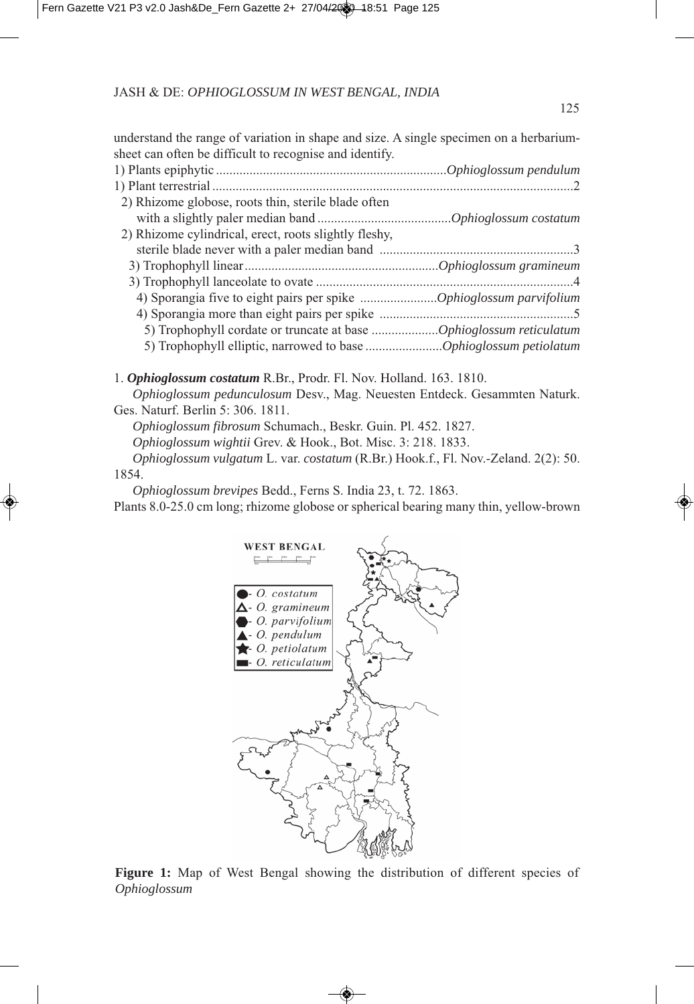understand the range of variation in shape and size. A single specimen on a herbariumsheet can often be difficult to recognise and identify.

| 2) Rhizome globose, roots thin, sterile blade often               |  |
|-------------------------------------------------------------------|--|
|                                                                   |  |
| 2) Rhizome cylindrical, erect, roots slightly fleshy,             |  |
|                                                                   |  |
|                                                                   |  |
|                                                                   |  |
|                                                                   |  |
|                                                                   |  |
|                                                                   |  |
| 5) Trophophyll elliptic, narrowed to base Ophioglossum petiolatum |  |
|                                                                   |  |

1. **Ophioglossum costatum** R.Br., Prodr. Fl. Nov. Holland. 163. 1810.

*Ophioglossum pedunculosum* Desv., Mag. Neuesten Entdeck. Gesammten Naturk. Ges. Naturf. Berlin 5: 306. 1811.

*Ophioglossum fibrosum Schumach., Beskr. Guin. Pl. 452. 1827.* 

Ophioglossum wightii Grev. & Hook., Bot. Misc. 3: 218. 1833.

Ophioglossum vulgatum L. var. *costatum* (R.Br.) Hook.f., Fl. Nov.-Zeland. 2(2): 50. 854.

*Ophioglossum brevipes Bedd., Ferns S. India 23, t. 72. 1863.* 

Plants 8.0-25.0 cm long; rhizome globose or spherical bearing many thin, yellow-brown



**Figure 1:** Map of West Bengal showing the distribution of different species of *Ophioglossum*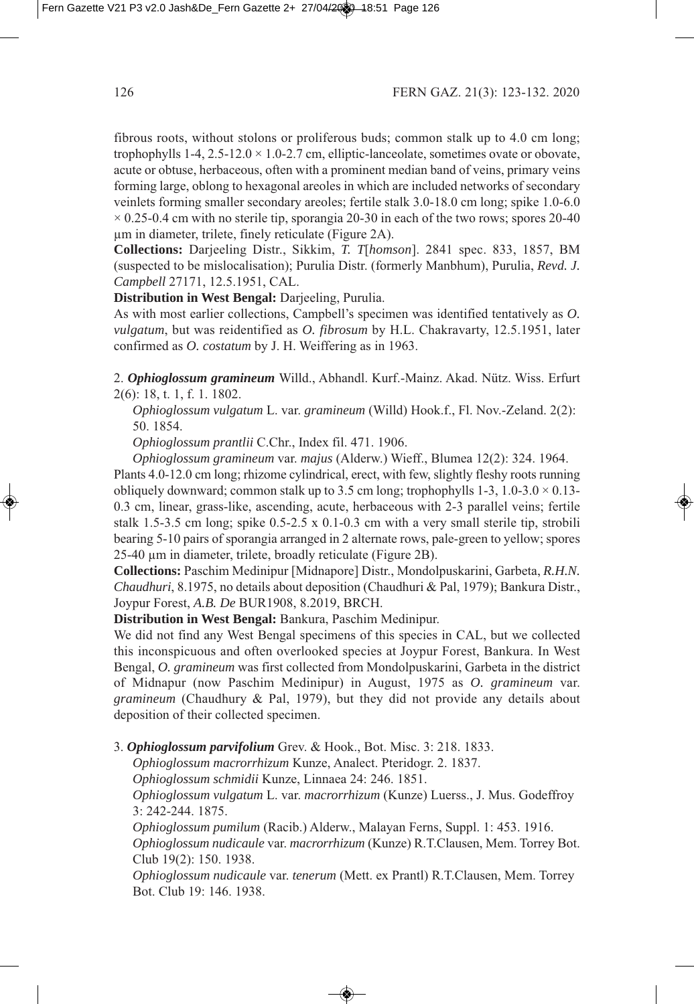fibrous roots, without stolons or proliferous buds; common stalk up to 4.0 cm long; trophophylls  $1-4$ ,  $2.5-12.0 \times 1.0-2.7$  cm, elliptic-lanceolate, sometimes ovate or obovate, acute or obtuse, herbaceous, often with a prominent median band of veins, primary veins forming large, oblong to hexagonal areoles in which are included networks of secondary veinlets forming smaller secondary areoles; fertile stalk 3.0-18.0 cm long; spike 1.0-6.0  $\times$  0.25-0.4 cm with no sterile tip, sporangia 20-30 in each of the two rows; spores 20-40 um in diameter, trilete, finely reticulate (Figure 2A).

**Collections:** Darjeeling Distr., Sikkim, *T. Thomson*]. 2841 spec. 833, 1857, BM suspected to be mislocalisation; Purulia Distr. formerly Manbhum, Purulia, *Revd. J. Campbell* 27171, 12.5.1951, CAL.

**Distribution in West Bengal:** Darjeeling, Purulia.

As with most earlier collections, Campbell's specimen was identified tentatively as *O. vulgatum*, but was reidentified as *O. fibrosum* by H.L. Chakravarty, 12.5.1951, later confirmed as *O. costatum* by J. H. Weiffering as in 1963.

. *Ophioglossum gramineum* Willd., Abhandl. Kurf.-Mainz. Akad. Nütz. Wiss. Erfurt 2(6): 18, t. 1, f. 1. 1802.

*Ophioglossum vulgatum* L. var. *gramineum* (Willd) Hook.f., Fl. Nov.-Zeland. 2(2): 50. 1854.

*Ophioglossum prantlii* C.Chr., Index fil. 471. 1906.

Ophioglossum gramineum var. majus (Alderw.) Wieff., Blumea 12(2): 324. 1964.

Plants 4.0-12.0 cm long; rhizome cylindrical, erect, with few, slightly fleshy roots running obliquely downward; common stalk up to 3.5 cm long; trophophylls 1-3,  $1.0-3.0 \times 0.13-$ 0.3 cm, linear, grass-like, ascending, acute, herbaceous with 2-3 parallel veins; fertile stalk 1.5-3.5 cm long; spike 0.5-2.5 x 0.1-0.3 cm with a very small sterile tip, strobili bearing 5-10 pairs of sporangia arranged in 2 alternate rows, pale-green to yellow; spores 25-40 µm in diameter, trilete, broadly reticulate (Figure 2B).

**Collections:** Paschim Medinipur [Midnapore] Distr., Mondolpuskarini, Garbeta, *R.H.N. Chaudhuri*, 8.1975, no details about deposition (Chaudhuri & Pal, 1979); Bankura Distr., Joypur Forest, *A.B. De* BUR1908, 8.2019, BRCH.

**Distribution in West Bengal:** Bankura, Paschim Medinipur.

We did not find any West Bengal specimens of this species in CAL, but we collected this inconspicuous and often overlooked species at Joypur Forest, Bankura. In West Bengal, *O. gramineum* was first collected from Mondolpuskarini, Garbeta in the district of Midnapur (now Paschim Medinipur) in August, 1975 as *O. gramineum* var. *gramineum* (Chaudhury & Pal, 1979), but they did not provide any details about deposition of their collected specimen.

3. **Ophioglossum parvifolium** Grev. & Hook., Bot. Misc. 3: 218. 1833.

Ophioglossum macrorrhizum Kunze, Analect. Pteridogr. 2. 1837.

Ophioglossum schmidii Kunze, Linnaea 24: 246. 1851.

*Ophioglossum vulgatum* L. var. *macrorrhizum* (Kunze) Luerss., J. Mus. Godeffroy 3: 242-244. 1875.

*Ophioglossum pumilum* (Racib.) Alderw., Malayan Ferns, Suppl. 1: 453. 1916. Ophioglossum nudicaule var. macrorrhizum (Kunze) R.T.Clausen, Mem. Torrey Bot. Club 19(2): 150. 1938.

*Ophioglossum nudicaule var. tenerum* (Mett. ex Prantl) R.T.Clausen, Mem. Torrey Bot. Club 19: 146, 1938.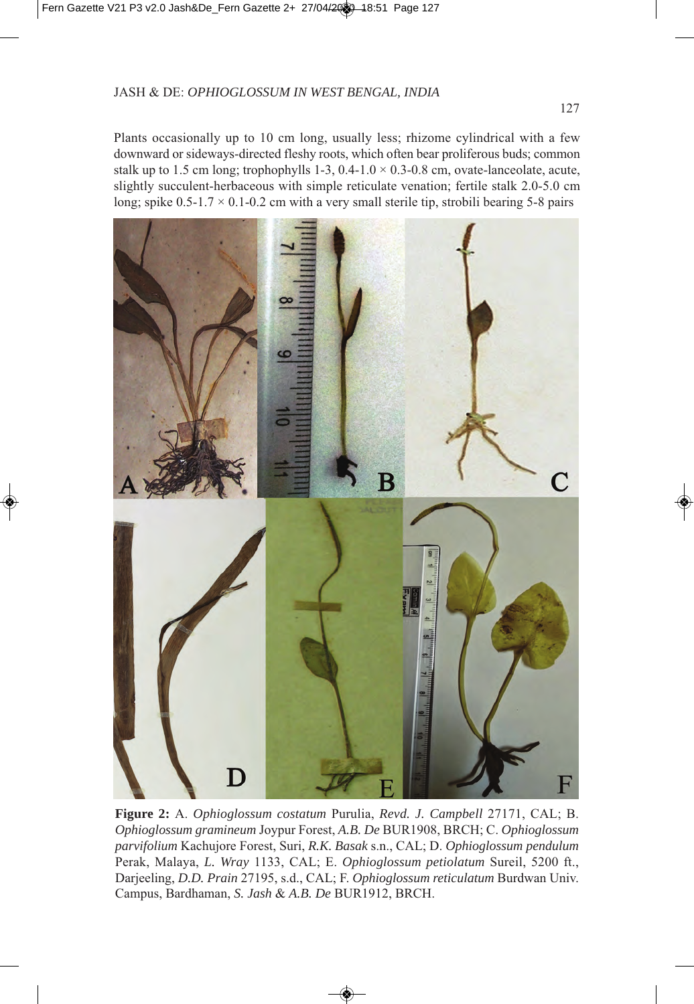Plants occasionally up to 10 cm long, usually less; rhizome cylindrical with a few downward or sideways-directed fleshy roots, which often bear proliferous buds; common stalk up to 1.5 cm long; trophophylls 1-3, 0.4-1.0  $\times$  0.3-0.8 cm, ovate-lanceolate, acute, slightly succulent-herbaceous with simple reticulate venation; fertile stalk  $2.0 - 5.0$  cm long; spike  $0.5$ -1.7  $\times$  0.1-0.2 cm with a very small sterile tip, strobili bearing 5-8 pairs



**Figure 2:** A. *Ophioglossum costatum* Purulia, *Revd. J. Campbell* 27171, CAL; B. *Ophioglossum gramineum* Joypur Forest, *A.B. De* BUR908, BRCH; C. *Ophioglossum parvifolium* Kachujore Forest, Suri, *R.K. Basak* s.n., CAL; D. *Ophioglossum pendulum* Perak, Malaya, *L. Wray 1133*, CAL; E. *Ophioglossum petiolatum* Sureil, 5200 ft., Darjeeling, *D.D. Prain 27195*, s.d., CAL; F. *Ophioglossum reticulatum* Burdwan Univ. Campus, Bardhaman, *S. Jash & A.B. De* BUR1912, BRCH.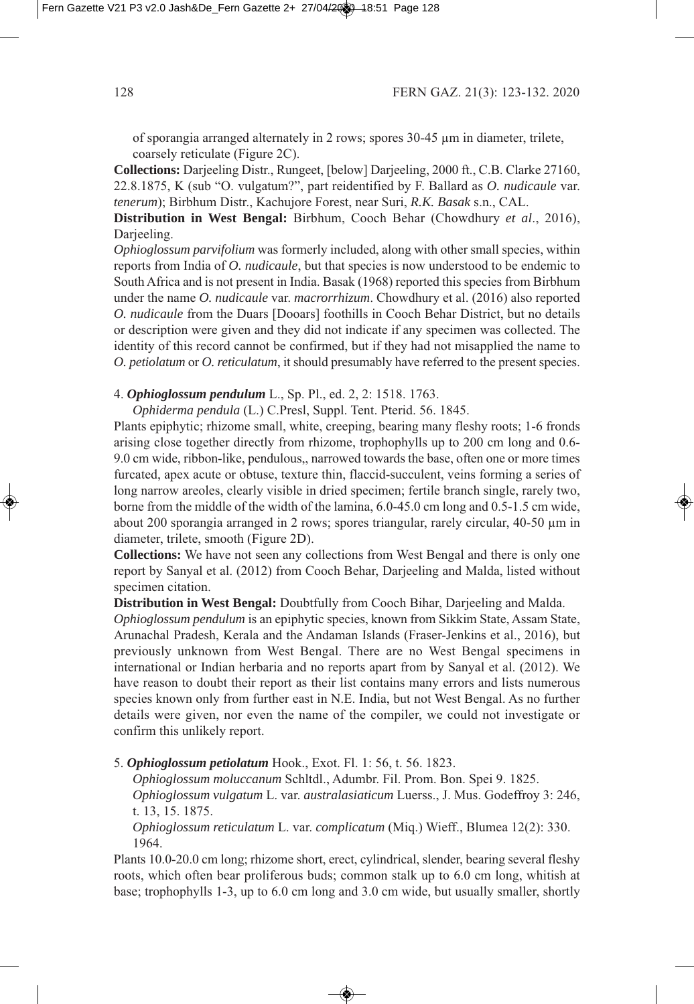of sporangia arranged alternately in 2 rows; spores  $30-45 \mu m$  in diameter, trilete, coarsely reticulate (Figure 2C).

**Collections:** Darjeeling Distr., Rungeet, [below] Darjeeling, 2000 ft., C.B. Clarke 27160, 22.8.1875, K (sub "O. vulgatum?", part reidentified by F. Ballard as *O. nudicaule* var. *tenerum*; Birbhum Distr., Kachujore Forest, near Suri, *R.K. Basak* s.n., CAL.

**Distribution in West Bengal:** Birbhum, Cooch Behar (Chowdhury *et al.*, 2016), Darjeeling.

*Ophioglossum parvifolium* was formerly included, along with other small species, within reports from India of *O. nudicaule*, but that species is now understood to be endemic to South Africa and is not present in India. Basak (1968) reported this species from Birbhum under the name *O. nudicaule var. macrorrhizum*. Chowdhury et al. (2016) also reported *O. nudicaule* from the Duars [Dooars] foothills in Cooch Behar District, but no details or description were given and they did not indicate if any specimen was collected. The identity of this record cannot be confirmed, but if they had not misapplied the name to *O. petiolatum* or *O. reticulatum*, it should presumably have referred to the present species.

4. **Ophioglossum pendulum** L., Sp. Pl., ed. 2, 2: 1518. 1763.

Ophiderma pendula (L.) C.Presl, Suppl. Tent. Pterid. 56. 1845.

Plants epiphytic; rhizome small, white, creeping, bearing many fleshy roots; 1-6 fronds arising close together directly from rhizome, trophophylls up to 200 cm long and 0.6-9.0 cm wide, ribbon-like, pendulous,, narrowed towards the base, often one or more times furcated, apex acute or obtuse, texture thin, flaccid-succulent, veins forming a series of long narrow areoles, clearly visible in dried specimen; fertile branch single, rarely two, borne from the middle of the width of the lamina,  $6.0-45.0$  cm long and  $0.5-1.5$  cm wide, about 200 sporangia arranged in 2 rows; spores triangular, rarely circular,  $40-50 \mu m$  in diameter, trilete, smooth (Figure 2D).

**Collections:** We have not seen any collections from West Bengal and there is only one report by Sanyal et al. (2012) from Cooch Behar, Darjeeling and Malda, listed without specimen citation.

**Distribution in West Bengal:** Doubtfully from Cooch Bihar, Darjeeling and Malda.

*Ophioglossum pendulum* is an epiphytic species, known from Sikkim State, Assam State, Arunachal Pradesh, Kerala and the Andaman Islands (Fraser-Jenkins et al., 2016), but previously unknown from West Bengal. There are no West Bengal specimens in international or Indian herbaria and no reports apart from by Sanyal et al. (2012). We have reason to doubt their report as their list contains many errors and lists numerous species known only from further east in N.E. India, but not West Bengal. As no further details were given, nor even the name of the compiler, we could not investigate or confirm this unlikely report.

5. **Ophioglossum petiolatum** Hook., Exot. Fl. 1: 56, t. 56. 1823.

Ophioglossum moluccanum Schltdl., Adumbr. Fil. Prom. Bon. Spei 9. 1825.

Ophioglossum vulgatum L. var. *australasiaticum* Luerss., J. Mus. Godeffroy 3: 246, t. 13, 15. 1875.

*Ophioglossum reticulatum L. var. complicatum (Miq.) Wieff., Blumea 12(2): 330.* 964.

Plants 10.0-20.0 cm long; rhizome short, erect, cylindrical, slender, bearing several fleshy roots, which often bear proliferous buds; common stalk up to 6.0 cm long, whitish at base; trophophylls 1-3, up to 6.0 cm long and 3.0 cm wide, but usually smaller, shortly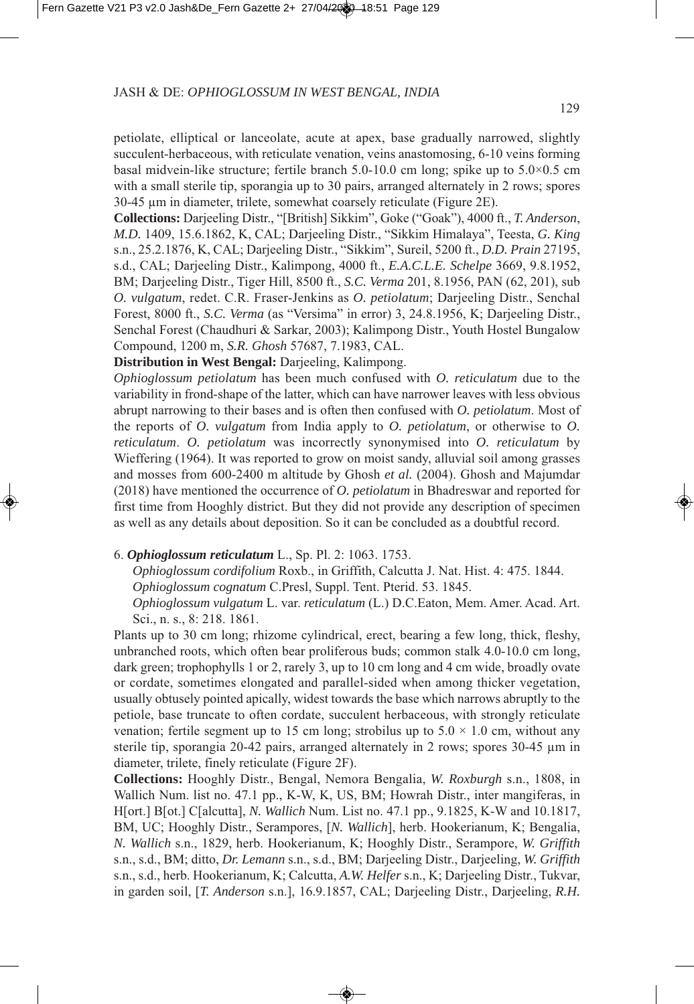petiolate, elliptical or lanceolate, acute at apex, base gradually narrowed, slightly succulent-herbaceous, with reticulate venation, veins anastomosing, 6-0 veins forming basal midvein-like structure; fertile branch 5.0-0.0 cm long; spike up to 5.0×0.5 cm with a small sterile tip, sporangia up to  $30$  pairs, arranged alternately in  $2$  rows; spores 30-45 µm in diameter, trilete, somewhat coarsely reticulate (Figure 2E).

**Collections:** Darjeeling Distr., "[British] Sikkim", Goke "Goak", 4000 ft., *T. Anderson*, *M.D.* 409, 5.6.86, K, CAL; Darjeeling Distr., "Sikkim Himalaya", Teesta, *G. King* s.n., 5..876, K, CAL; Darjeeling Distr., "Sikkim", Sureil, 500 ft., *D.D. Prain* 795, s.d., CAL; Darjeeling Distr., Kalimpong, 4000 ft., *E.A.C.L.E. Schelpe* 3669, 9.8.1952, BM; Darjeeling Distr., Tiger Hill, 8500 ft., *S.C. Verma* 201, 8.1956, PAN (62, 201), sub *O. vulgatum*, redet. C.R. Fraser-Jenkins as *O. petiolatum*; Darjeeling Distr., Senchal Forest, 8000 ft., *S.C. Verma* (as "Versima" in error) 3, 24.8.1956, K; Darjeeling Distr., Senchal Forest (Chaudhuri & Sarkar, 2003); Kalimpong Distr., Youth Hostel Bungalow Compound, 1200 m, *S.R. Ghosh 57687*, 7.1983, CAL.

**Distribution in West Bengal:** Darjeeling, Kalimpong.

*Ophioglossum petiolatum* has been much confused with *O. reticulatum* due to the variability in frond-shape of the latter, which can have narrower leaves with less obvious abrupt narrowing to their bases and is often then confused with *O. petiolatum*. Most of the reports of *O. vulgatum* from India apply to *O. petiolatum*, or otherwise to *O. reticulatum*. *O. petiolatum* was incorrectly synonymised into *O. reticulatum* by Wieffering (1964). It was reported to grow on moist sandy, alluvial soil among grasses and mosses from 600-2400 m altitude by Ghosh *et al.* (2004). Ghosh and Majumdar (2018) have mentioned the occurrence of *O. petiolatum* in Bhadreswar and reported for first time from Hooghly district. But they did not provide any description of specimen as well as any details about deposition. So it can be concluded as a doubtful record.

## 6. **Ophioglossum reticulatum** L., Sp. Pl. 2: 1063. 1753.

*Ophioglossum cordifolium* Roxb., in Griffith, Calcutta J. Nat. Hist. 4: 475. 1844. *Ophioglossum cognatum* C.Presl, Suppl. Tent. Pterid. 53. 1845.

*Ophioglossum vulgatum* L. var. *reticulatum* L. D.C.Eaton, Mem. Amer. Acad. Art. Sci., n. s., 8: 218. 1861.

Plants up to 30 cm long; rhizome cylindrical, erect, bearing a few long, thick, fleshy, unbranched roots, which often bear proliferous buds; common stalk 4.0-10.0 cm long, dark green; trophophylls 1 or 2, rarely 3, up to 10 cm long and 4 cm wide, broadly ovate or cordate, sometimes elongated and parallel-sided when among thicker vegetation, usually obtusely pointed apically, widest towards the base which narrows abruptly to the petiole, base truncate to often cordate, succulent herbaceous, with strongly reticulate venation; fertile segment up to 15 cm long; strobilus up to  $5.0 \times 1.0$  cm, without any sterile tip, sporangia 20-42 pairs, arranged alternately in 2 rows; spores  $30-45 \mu m$  in diameter, trilete, finely reticulate (Figure 2F).

**Collections:** Hooghly Distr., Bengal, Nemora Bengalia, *W. Roxburgh* s.n., 808, in Wallich Num. list no. 47.1 pp., K-W, K, US, BM; Howrah Distr., inter mangiferas, in H[ort.] B[ot.] C[alcutta], *N. Wallich* Num. List no. 47. pp., 9.85, K-W and 0.87, BM, UC; Hooghly Distr., Serampores, [*N. Wallich*], herb. Hookerianum, K; Bengalia, *N. Wallich* s.n., 89, herb. Hookerianum, K; Hooghly Distr., Serampore, *W. Griffith* s.n., s.d., BM; ditto, *Dr. Lemann* s.n., s.d., BM; Darjeeling Distr., Darjeeling, *W. Griffith* s.n., s.d., herb. Hookerianum, K; Calcutta, *A.W. Helfer* s.n., K; Darjeeling Distr., Tukvar, in garden soil, [*T. Anderson* s.n.], 6.9.857, CAL; Darjeeling Distr., Darjeeling, *R.H.*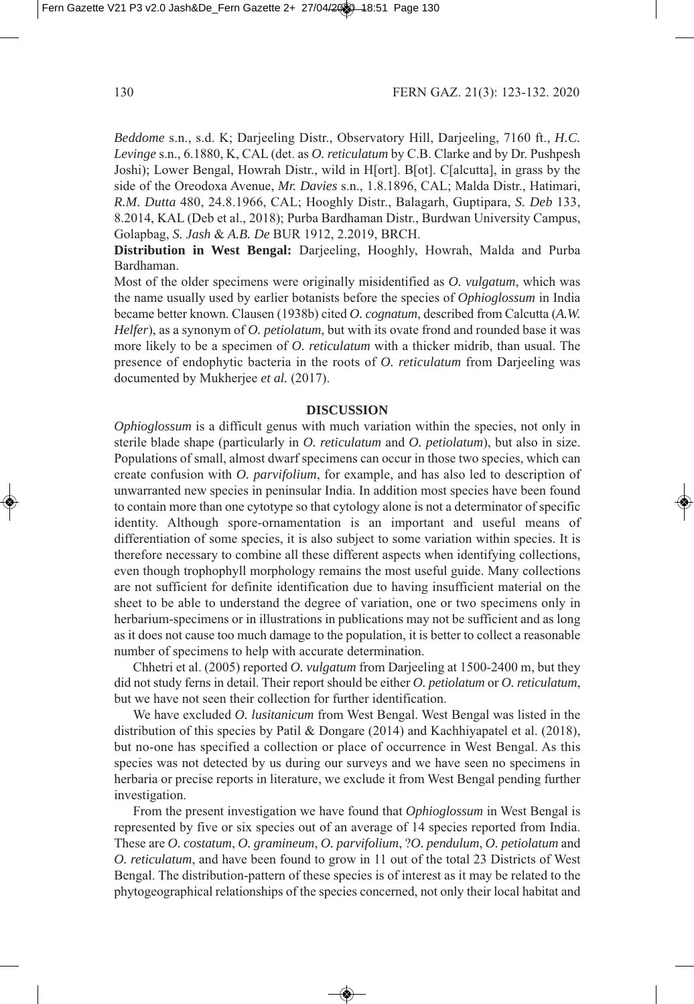*Beddome* s.n., s.d. K; Darjeeling Distr., Observatory Hill, Darjeeling, 7160 ft., *H.C. Levinge* s.n., 6.880, K, CAL det. as *O. reticulatum* by C.B. Clarke and by Dr. Pushpesh Joshi; Lower Bengal, Howrah Distr., wild in H[ort]. B[ot]. C[alcutta], in grass by the side of the Oreodoxa Avenue, *Mr. Davies* s.n., 1.8.1896, CAL; Malda Distr., Hatimari, *R.M. Dutta* 480, 24.8.1966, CAL; Hooghly Distr., Balagarh, Guptipara, *S. Deb* 133, 8.2014, KAL (Deb et al., 2018); Purba Bardhaman Distr., Burdwan University Campus, Golapbag, *S. Jash & A.B. De* BUR 1912, 2.2019, BRCH.

**Distribution in West Bengal:** Darjeeling, Hooghly, Howrah, Malda and Purba Bardhaman.

Most of the older specimens were originally misidentified as *O. vulgatum*, which was the name usually used by earlier botanists before the species of *Ophioglossum* in India became better known. Clausen (1938b) cited *O. cognatum*, described from Calcutta (A.W. *Helfer*, as a synonym of *O. petiolatum*, but with its ovate frond and rounded base it was more likely to be a specimen of *O. reticulatum* with a thicker midrib, than usual. The presence of endophytic bacteria in the roots of *O. reticulatum* from Darjeeling was documented by Mukherjee *et al.* (2017).

#### **DISCUSSION**

*Ophioglossum* is a difficult genus with much variation within the species, not only in sterile blade shape (particularly in *O. reticulatum* and *O. petiolatum*), but also in size. Populations of small, almost dwarf specimens can occur in those two species, which can create confusion with *O. parvifolium*, for example, and has also led to description of unwarranted new species in peninsular India. In addition most species have been found to contain more than one cytotype so that cytology alone is not a determinator of specific identity. Although spore-ornamentation is an important and useful means of differentiation of some species, it is also subject to some variation within species. It is therefore necessary to combine all these different aspects when identifying collections, even though trophophyll morphology remains the most useful guide. Many collections are not sufficient for definite identification due to having insufficient material on the sheet to be able to understand the degree of variation, one or two specimens only in herbarium-specimens or in illustrations in publications may not be sufficient and as long as it does not cause too much damage to the population, it is better to collect a reasonable number of specimens to help with accurate determination.

Chhetri et al. (2005) reported *O. vulgatum* from Darjeeling at 1500-2400 m, but they did not study ferns in detail. Their report should be either *O. petiolatum* or *O. reticulatum*, but we have not seen their collection for further identification.

We have excluded *O. lusitanicum* from West Bengal. West Bengal was listed in the distribution of this species by Patil & Dongare  $(2014)$  and Kachhiyapatel et al.  $(2018)$ , but no-one has specified a collection or place of occurrence in West Bengal. As this species was not detected by us during our surveys and we have seen no specimens in herbaria or precise reports in literature, we exclude it from West Bengal pending further investigation.

From the present investigation we have found that *Ophioglossum* in West Bengal is represented by five or six species out of an average of 4 species reported from India. These are *O. costatum*, *O. gramineum*, *O. parvifolium*, ?*O. pendulum*, *O. petiolatum* and *O. reticulatum*, and have been found to grow in 11 out of the total 23 Districts of West Bengal. The distribution-pattern of these species is of interest as it may be related to the phytogeographical relationships of the species concerned, not only their local habitat and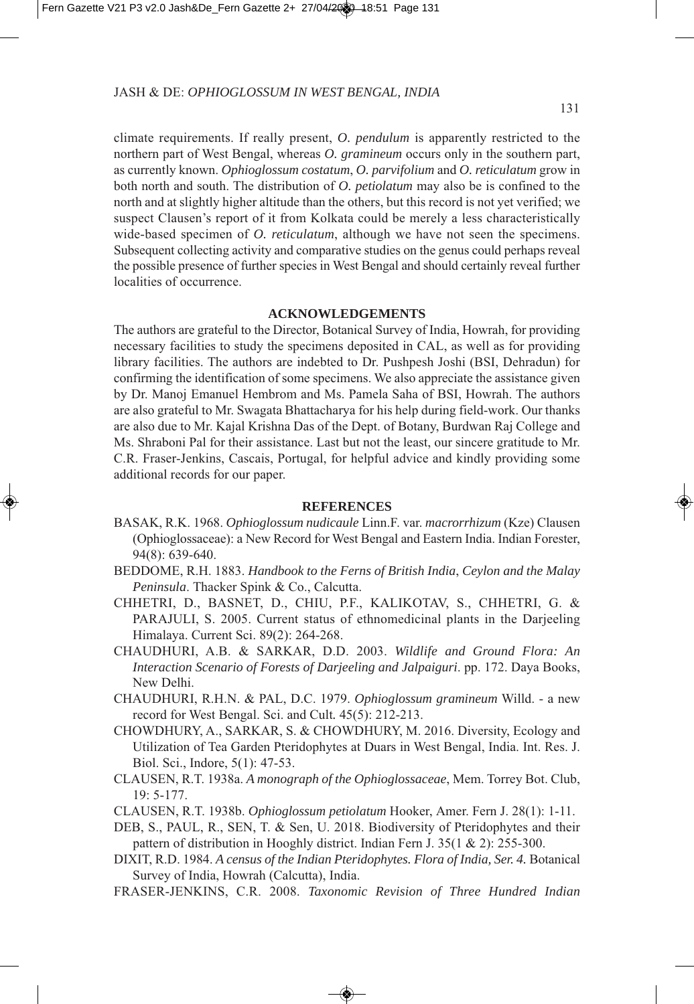climate requirements. If really present, *O. pendulum* is apparently restricted to the northern part of West Bengal, whereas *O. gramineum* occurs only in the southern part, as currently known. *Ophioglossum costatum*, *O. parvifolium* and *O. reticulatum* grow in both north and south. The distribution of *O. petiolatum* may also be is confined to the north and at slightly higher altitude than the others, but this record is not yet verified; we suspect Clausen's report of it from Kolkata could be merely a less characteristically wide-based specimen of *O. reticulatum*, although we have not seen the specimens. Subsequent collecting activity and comparative studies on the genus could perhaps reveal the possible presence of further species in West Bengal and should certainly reveal further localities of occurrence.

#### **ACKNOWLEDGEMENTS**

The authors are grateful to the Director, Botanical Survey of India, Howrah, for providing necessary facilities to study the specimens deposited in CAL, as well as for providing library facilities. The authors are indebted to Dr. Pushpesh Joshi (BSI, Dehradun) for confirming the identification of some specimens. We also appreciate the assistance given by Dr. Manoj Emanuel Hembrom and Ms. Pamela Saha of BSI, Howrah. The authors are also grateful to Mr. Swagata Bhattacharya for his help during field-work. Our thanks are also due to Mr. Kajal Krishna Das of the Dept. of Botany, Burdwan Raj College and Ms. Shraboni Pal for their assistance. Last but not the least, our sincere gratitude to Mr. C.R. Fraser-Jenkins, Cascais, Portugal, for helpful advice and kindly providing some additional records for our paper.

#### **REFERENCES**

- BASAK, R.K. 1968. *Ophioglossum nudicaule* Linn.F. var. *macrorrhizum* (Kze) Clausen (Ophioglossaceae): a New Record for West Bengal and Eastern India. Indian Forester, 94(8): 639-640.
- BEDDOME, R.H. 1883. *Handbook to the Ferns of British India*, *Ceylon and the Malay Peninsula*. Thacker Spink & Co., Calcutta.
- CHHETRI, D., BASNET, D., CHIU, P.F., KALIKOTAV, S., CHHETRI, G. & PARAJULI, S. 2005. Current status of ethnomedicinal plants in the Darjeeling Himalaya. Current Sci. 89(2): 264-268.
- CHAUDHURI, A.B. & SARKAR, D.D. 00. *Wildlife and Ground Flora: An Interaction Scenario of Forests of Darjeeling and Jalpaiguri*. pp. 7. Daya Books, New Delhi.
- CHAUDHURI, R.H.N. & PAL, D.C. 979. *Ophioglossum gramineum* Willd. a new record for West Bengal. Sci. and Cult. 45(5): 212-213.
- CHOWDHURY, A., SARKAR, S. & CHOWDHURY, M. 2016. Diversity, Ecology and Utilization of Tea Garden Pteridophytes at Duars in West Bengal, India. Int. Res. J. Biol. Sci., Indore, 5(1): 47-53.
- CLAUSEN, R.T. 98a. *A monograph of the Ophioglossaceae*, Mem. Torrey Bot. Club, 9: 5-77.
- CLAUSEN, R.T. 1938b. *Ophioglossum petiolatum* Hooker, Amer. Fern J. 28(1): 1-11.
- DEB, S., PAUL, R., SEN, T. & Sen, U. 2018. Biodiversity of Pteridophytes and their pattern of distribution in Hooghly district. Indian Fern J.  $35(1 \& 2)$ : 255-300.
- DIXIT, R.D. 984. *A census of the Indian Pteridophytes. Flora of India, Ser. 4.* Botanical Survey of India, Howrah (Calcutta), India.
- FRASER-JENKINS, C.R. 008. *Taxonomic Revision of Three Hundred Indian*